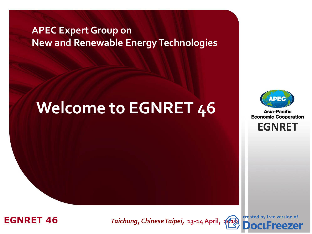### **APEC Expert Group on New and Renewable Energy Technologies**

# **Welcome to EGNRET 46**



**Asia-Pacific Economic Cooperation** 

**EGNRET EGNRET**



**EGNRET 46** *Boeg Taichung, Chinese Taipei, 13-14 April,* **2010** 

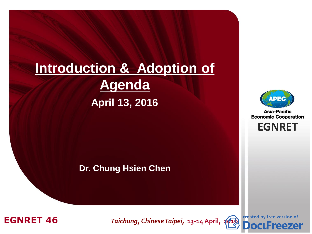# **Introduction & Adoption of Agenda April 13, 2016**

**Dr. Chung Hsien Chen**



**Asia-Pacific Economic Cooperation** 

**EGNRET EGNRET**



**EGNRET 46** *Brung, Chinese Taipei, 13-14 April, [2016](http://www.docufreezer.com/?df-dlabel)* 



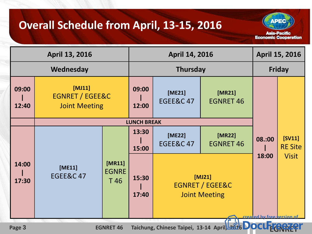### **Overall Schedule from April, 13-15, 2016**

**Asia-Pacific Economic Cooperation** 

**ADE** 

| April 13, 2016                                                                                              |                                                                 |                | <b>April 14, 2016</b> |                                                     | April 15, 2016             |              |                          |
|-------------------------------------------------------------------------------------------------------------|-----------------------------------------------------------------|----------------|-----------------------|-----------------------------------------------------|----------------------------|--------------|--------------------------|
| Wednesday                                                                                                   |                                                                 |                | <b>Thursday</b>       |                                                     | <b>Friday</b>              |              |                          |
| 09:00<br>12:40                                                                                              | [MJ11]<br><b>EGNRET / EGEE&amp;C</b><br><b>Joint Meeting</b>    |                | 09:00<br>12:00        | $[ME21]$<br><b>EGEE&amp;C 47</b>                    | [MR21]<br><b>EGNRET 46</b> |              |                          |
|                                                                                                             | <b>LUNCH BREAK</b>                                              |                |                       |                                                     |                            |              |                          |
|                                                                                                             |                                                                 |                | 13:30<br>15:00        | [ME22]<br><b>EGEE&amp;C 47</b>                      | [MR22]<br><b>EGNRET 46</b> | 08.:00       | [SV11]<br><b>RE Site</b> |
| 14:00<br>17:30                                                                                              | [MR11]<br>[ME11]<br><b>EGNRE</b><br><b>EGEE&amp;C47</b><br>T 46 | 15:30<br>17:40 |                       | $[MJ21]$<br>EGNRET / EGEE&C<br><b>Joint Meeting</b> | 18:00                      | <b>Visit</b> |                          |
| created by free version of<br>Taichung, Chinese Taipei, 13-14 April 5676 DOCU<br>Page 3<br><b>EGNRET 46</b> |                                                                 |                |                       |                                                     |                            |              |                          |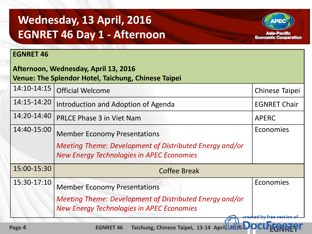## **Wednesday, 13 April, 2016 EGNRET 46 Day 1 - Afternoon**

#### **EGNRET 46**

| Afternoon, Wednesday, April 13, 2016<br>Venue: The Splendor Hotel, Taichung, Chinese Taipei |                                                                                                                                                           |                                    |  |  |  |
|---------------------------------------------------------------------------------------------|-----------------------------------------------------------------------------------------------------------------------------------------------------------|------------------------------------|--|--|--|
| 14:10-14:15                                                                                 | <b>Official Welcome</b>                                                                                                                                   | <b>Chinese Taipei</b>              |  |  |  |
| 14:15-14:20                                                                                 | Introduction and Adoption of Agenda                                                                                                                       | <b>EGNRET Chair</b>                |  |  |  |
| 14:20-14:40                                                                                 | <b>PRLCE Phase 3 in Viet Nam</b>                                                                                                                          | <b>APERC</b>                       |  |  |  |
| 14:40-15:00                                                                                 | <b>Member Economy Presentations</b><br><b>Meeting Theme: Development of Distributed Energy and/or</b><br><b>New Energy Technologies in APEC Economies</b> | Economies                          |  |  |  |
| 15:00-15:30                                                                                 | <b>Coffee Break</b>                                                                                                                                       |                                    |  |  |  |
| 15:30-17:10                                                                                 | <b>Member Economy Presentations</b><br>Meeting Theme: Development of Distributed Energy and/or<br><b>New Energy Technologies in APEC Economies</b>        | Economies<br>created by free versi |  |  |  |

Asia-Pacific **Economic Cooperation**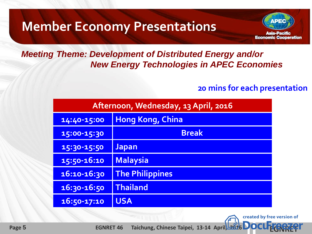# **Member Economy Presentations**



#### *Meeting Theme: Development of Distributed Energy and/or New Energy Technologies in APEC Economies*

#### **20 mins for each presentation**

created by free version of

| Afternoon, Wednesday, 13 April, 2016 |                         |  |  |  |
|--------------------------------------|-------------------------|--|--|--|
| 14:40-15:00                          | <b>Hong Kong, China</b> |  |  |  |
| 15:00-15:30                          | <b>Break</b>            |  |  |  |
| 15:30-15:50                          | <b>Japan</b>            |  |  |  |
| 15:50-16:10                          | Malaysia                |  |  |  |
| 16:10-16:30                          | <b>The Philippines</b>  |  |  |  |
| 16:30-16:50                          | <b>Thailand</b>         |  |  |  |
| 16:50-17:10                          | <b>USA</b>              |  |  |  |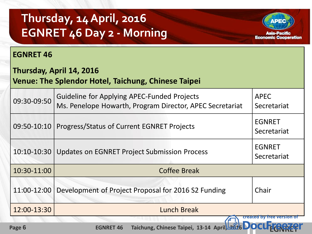# **Thursday, 14 April, 2016 EGNRET 46 Day 2 - Morning**



#### **EGNRET 46**

#### **Thursday, April 14, 2016**

#### **Venue: The Splendor Hotel, Taichung, Chinese Taipei**

| 09:30-09:50 | <b>Guideline for Applying APEC-Funded Projects</b><br>Ms. Penelope Howarth, Program Director, APEC Secretariat | <b>APEC</b><br>Secretariat   |
|-------------|----------------------------------------------------------------------------------------------------------------|------------------------------|
| 09:50-10:10 | Progress/Status of Current EGNRET Projects                                                                     | <b>EGNRET</b><br>Secretariat |
| 10:10-10:30 | <b>Updates on EGNRET Project Submission Process</b>                                                            | <b>EGNRET</b><br>Secretariat |
| 10:30-11:00 | <b>Coffee Break</b>                                                                                            |                              |
| 11:00-12:00 | Development of Project Proposal for 2016 S2 Funding                                                            | Chair                        |
| 12:00-13:30 | <b>Lunch Break</b>                                                                                             |                              |
|             |                                                                                                                | created by<br>Tree vel       |

 **Page 6 [EGNRET](http://www.docufreezer.com/?df-dlabel) 46** Taichung, Chinese Taipei, 13-14 April 2016 **DOCUTION 249**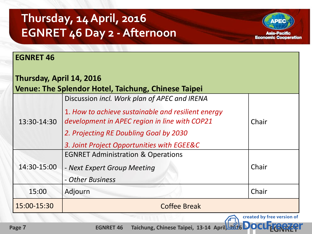# **Thursday, 14 April, 2016 EGNRET 46 Day 2 -Afternoon**



created by free version of

#### **EGNRET 46**

| Thursday, April 14, 2016                                   |                                                                                                                                                     |       |  |  |  |  |
|------------------------------------------------------------|-----------------------------------------------------------------------------------------------------------------------------------------------------|-------|--|--|--|--|
| <b>Venue: The Splendor Hotel, Taichung, Chinese Taipei</b> |                                                                                                                                                     |       |  |  |  |  |
| 13:30-14:30                                                | Discussion incl. Work plan of APEC and IRENA<br>1. How to achieve sustainable and resilient energy<br>development in APEC region in line with COP21 | Chair |  |  |  |  |
|                                                            | 2. Projecting RE Doubling Goal by 2030<br>3. Joint Project Opportunities with EGEE&C                                                                |       |  |  |  |  |
| 14:30-15:00                                                | <b>EGNRET Administration &amp; Operations</b><br>- Next Expert Group Meeting<br>- Other Business                                                    | Chair |  |  |  |  |
| 15:00                                                      | Adjourn                                                                                                                                             | Chair |  |  |  |  |
| 15:00-15:30                                                | <b>Coffee Break</b>                                                                                                                                 |       |  |  |  |  |

 **Page 7 [EGNRET](http://www.docufreezer.com/?df-dlabel) 46** Taichung, Chinese Taipei, 13-14 April 2016 **DOCL**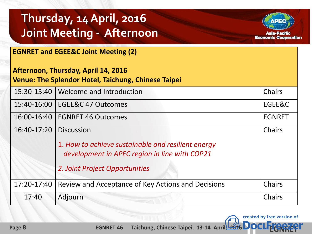# **Thursday, 14 April, 2016 Joint Meeting - Afternoon**



created by free version of

| <b>EGNRET and EGEE&amp;C Joint Meeting (2)</b>                                             |                                                                                                                                                            |               |  |  |
|--------------------------------------------------------------------------------------------|------------------------------------------------------------------------------------------------------------------------------------------------------------|---------------|--|--|
| Afternoon, Thursday, April 14, 2016<br>Venue: The Splendor Hotel, Taichung, Chinese Taipei |                                                                                                                                                            |               |  |  |
| 15:30-15:40                                                                                | Welcome and Introduction                                                                                                                                   | Chairs        |  |  |
| 15:40-16:00                                                                                | EGEE&C 47 Outcomes                                                                                                                                         | EGEE&C        |  |  |
| 16:00-16:40                                                                                | <b>EGNRET 46 Outcomes</b>                                                                                                                                  | <b>EGNRET</b> |  |  |
| 16:40-17:20                                                                                | <b>Discussion</b><br>1. How to achieve sustainable and resilient energy<br>development in APEC region in line with COP21<br>2. Joint Project Opportunities | <b>Chairs</b> |  |  |
| 17:20-17:40                                                                                | Review and Acceptance of Key Actions and Decisions                                                                                                         | <b>Chairs</b> |  |  |
| 17:40                                                                                      | Adjourn                                                                                                                                                    | <b>Chairs</b> |  |  |

 **Page 8 [EGNRET](http://www.docufreezer.com/?df-dlabel) 46** Taichung, Chinese Taipei, 13-14 April 2016 **DOCU**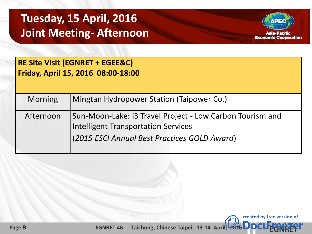## **Tuesday, 15 April, 2016 Joint Meeting- Afternoon**



created by free version of

**RE Site Visit (EGNRET + EGEE&C) Friday, April 15, 2016 08:00-18:00**

| <b>Morning</b> | Mingtan Hydropower Station (Taipower Co.)                                                                                                               |
|----------------|---------------------------------------------------------------------------------------------------------------------------------------------------------|
| Afternoon      | Sun-Moon-Lake: i3 Travel Project - Low Carbon Tourism and<br><b>Intelligent Transportation Services</b><br>(2015 ESCI Annual Best Practices GOLD Award) |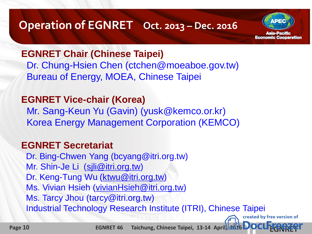### **Operation of EGNRET Oct. 2013 – Dec. 2016**

**kaia-Pacific Economic Cooperation** 

created by free version of

#### **EGNRET Chair (Chinese Taipei)**

 Dr. Chung-Hsien Chen (ctchen@moeaboe.gov.tw) Bureau of Energy, MOEA, Chinese Taipei

### **EGNRET Vice-chair (Korea)**

 Mr. Sang-Keun Yu (Gavin) (yusk@kemco.or.kr) Korea Energy Management Corporation (KEMCO)

#### **EGNRET Secretariat**

 Dr. Bing-Chwen Yang (bcyang@itri.org.tw) Mr. Shin-Je Li (sili@itri.org.tw) Dr. Keng-Tung Wu ([ktwu@itri.org.tw\)](mailto:ktwu@itri.org.tw) Ms. Vivian Hsieh ([vivianHsieh@itri.org.tw\)](mailto:vivianHsieh@itri.org.tw) Ms. Tarcy Jhou (tarcy@itri.org.tw) Industrial Technology Research Institute (ITRI), Chinese Taipei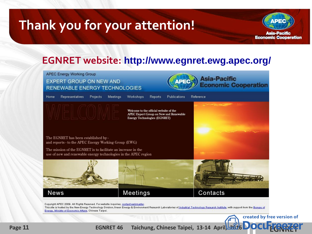# **Thank you for your attention!**



#### **EGNRET website: http://www.egnret.ewg.apec.org/**



 **Page 11 [EGNRET](http://www.docufreezer.com/?df-dlabel) 46** Taichung, Chinese Taipei, 13-14 April